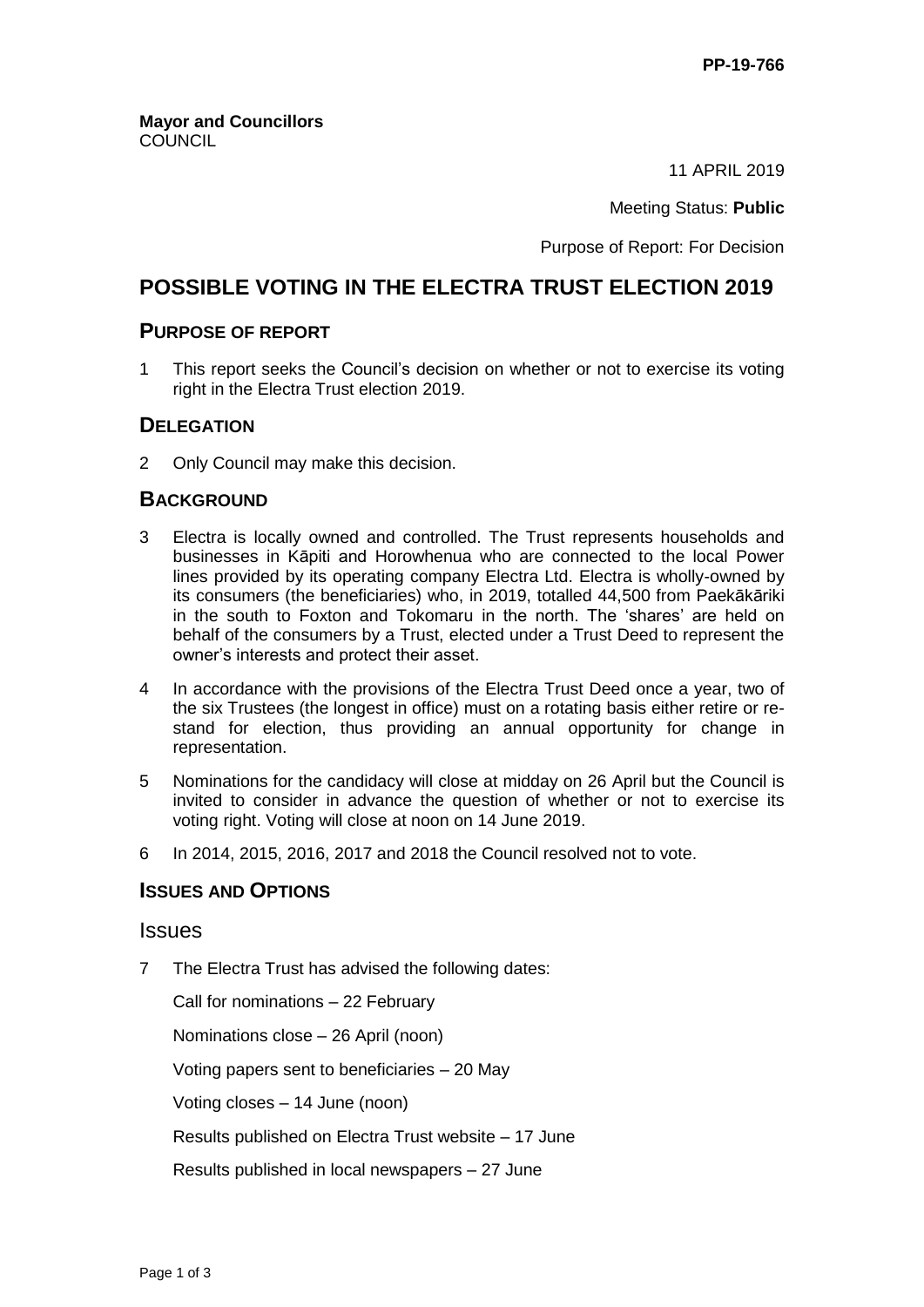11 APRIL 2019

#### Meeting Status: **Public**

Purpose of Report: For Decision

## **POSSIBLE VOTING IN THE ELECTRA TRUST ELECTION 2019**

### **PURPOSE OF REPORT**

1 This report seeks the Council's decision on whether or not to exercise its voting right in the Electra Trust election 2019.

### **DELEGATION**

2 Only Council may make this decision.

### **BACKGROUND**

- 3 Electra is locally owned and controlled. The Trust represents households and businesses in Kāpiti and Horowhenua who are connected to the local Power lines provided by its operating company Electra Ltd. Electra is wholly-owned by its consumers (the beneficiaries) who, in 2019, totalled 44,500 from Paekākāriki in the south to Foxton and Tokomaru in the north. The 'shares' are held on behalf of the consumers by a Trust, elected under a Trust Deed to represent the owner's interests and protect their asset.
- 4 In accordance with the provisions of the Electra Trust Deed once a year, two of the six Trustees (the longest in office) must on a rotating basis either retire or restand for election, thus providing an annual opportunity for change in representation.
- 5 Nominations for the candidacy will close at midday on 26 April but the Council is invited to consider in advance the question of whether or not to exercise its voting right. Voting will close at noon on 14 June 2019.
- 6 In 2014, 2015, 2016, 2017 and 2018 the Council resolved not to vote.

## **ISSUES AND OPTIONS**

#### **Issues**

7 The Electra Trust has advised the following dates:

Call for nominations – 22 February

Nominations close – 26 April (noon)

Voting papers sent to beneficiaries – 20 May

Voting closes – 14 June (noon)

Results published on Electra Trust website – 17 June

Results published in local newspapers – 27 June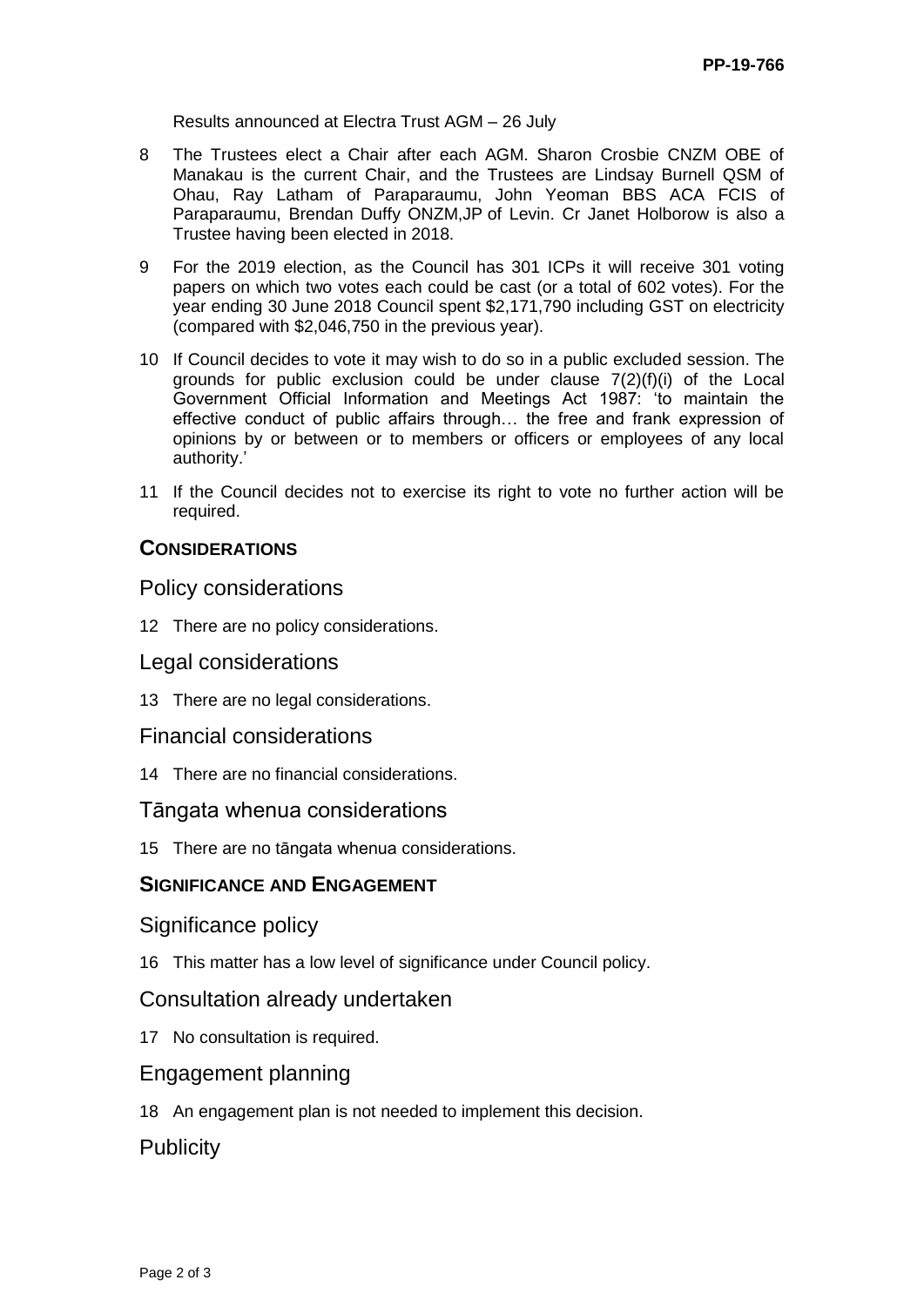Results announced at Electra Trust AGM – 26 July

- 8 The Trustees elect a Chair after each AGM. Sharon Crosbie CNZM OBE of Manakau is the current Chair, and the Trustees are Lindsay Burnell QSM of Ohau, Ray Latham of Paraparaumu, John Yeoman BBS ACA FCIS of Paraparaumu, Brendan Duffy ONZM,JP of Levin. Cr Janet Holborow is also a Trustee having been elected in 2018.
- 9 For the 2019 election, as the Council has 301 ICPs it will receive 301 voting papers on which two votes each could be cast (or a total of 602 votes). For the year ending 30 June 2018 Council spent \$2,171,790 including GST on electricity (compared with \$2,046,750 in the previous year).
- 10 If Council decides to vote it may wish to do so in a public excluded session. The grounds for public exclusion could be under clause  $7(2)(f)(i)$  of the Local Government Official Information and Meetings Act 1987: 'to maintain the effective conduct of public affairs through… the free and frank expression of opinions by or between or to members or officers or employees of any local authority.'
- 11 If the Council decides not to exercise its right to vote no further action will be required.

## **CONSIDERATIONS**

### Policy considerations

12 There are no policy considerations.

#### Legal considerations

13 There are no legal considerations.

#### Financial considerations

14 There are no financial considerations.

#### Tāngata whenua considerations

15 There are no tāngata whenua considerations.

## **SIGNIFICANCE AND ENGAGEMENT**

#### Significance policy

16 This matter has a low level of significance under Council policy.

## Consultation already undertaken

17 No consultation is required.

## Engagement planning

18 An engagement plan is not needed to implement this decision.

## **Publicity**